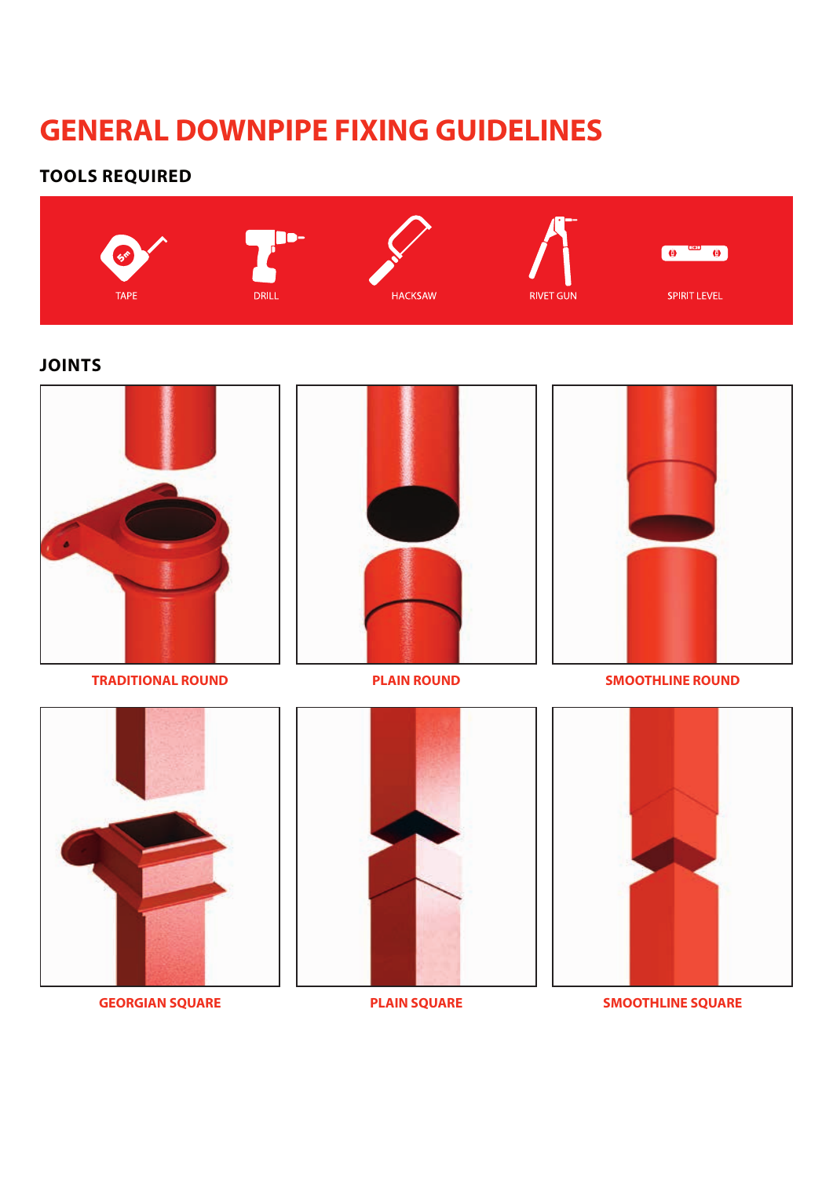## **GENERAL DOWNPIPE FIXING GUIDELINES**

### **TOOLS REQUIRED**



### **JOINTS**







**TRADITIONAL ROUND PLAIN ROUND SMOOTHLINE ROUND**







**GEORGIAN SQUARE PLAIN SQUARE SMOOTHLINE SQUARE**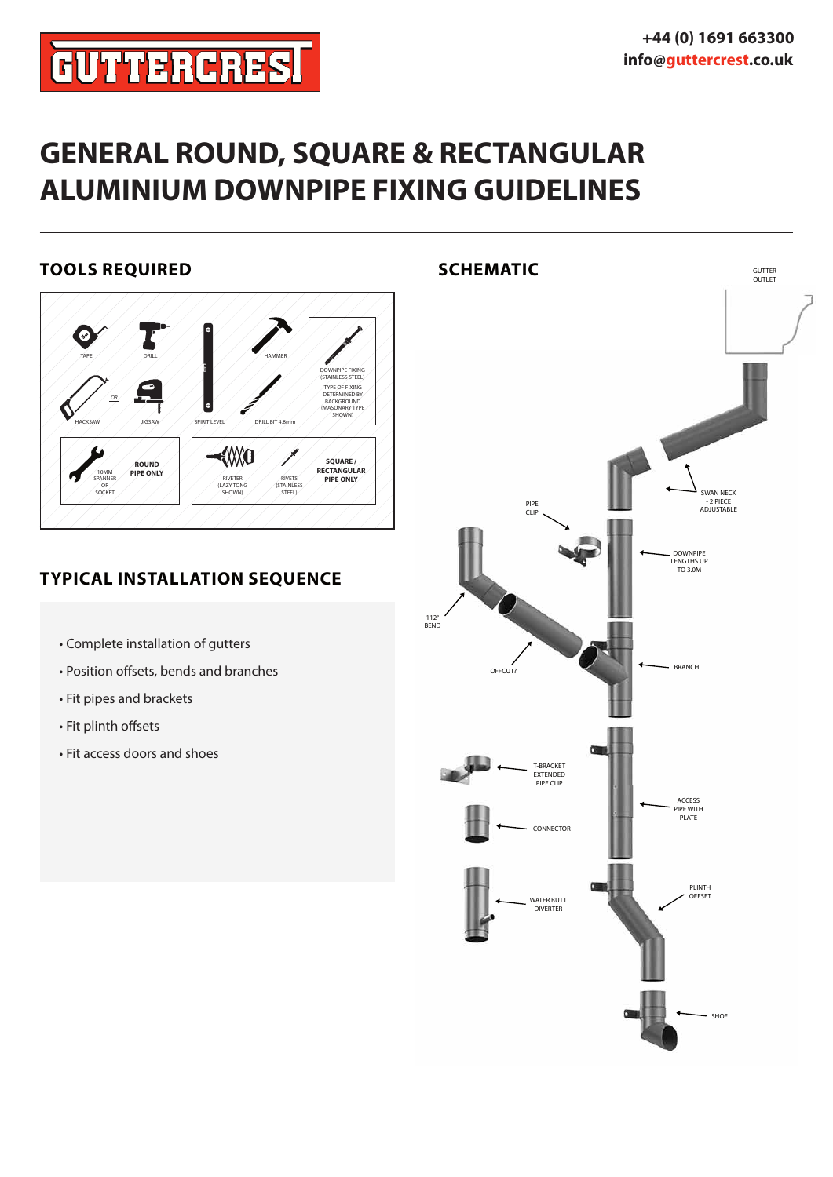# **GUTTERCRES!**

### **GENERAL ROUND, SQUARE & RECTANGULAR ALUMINIUM DOWNPIPE FIXING GUIDELINES**

### **TOOLS REQUIRED**



### **TYPICAL INSTALLATION SEQUENCE**

- Complete installation of gutters
- Position offsets, bends and branches
- Fit pipes and brackets
- Fit plinth offsets
- Fit access doors and shoes

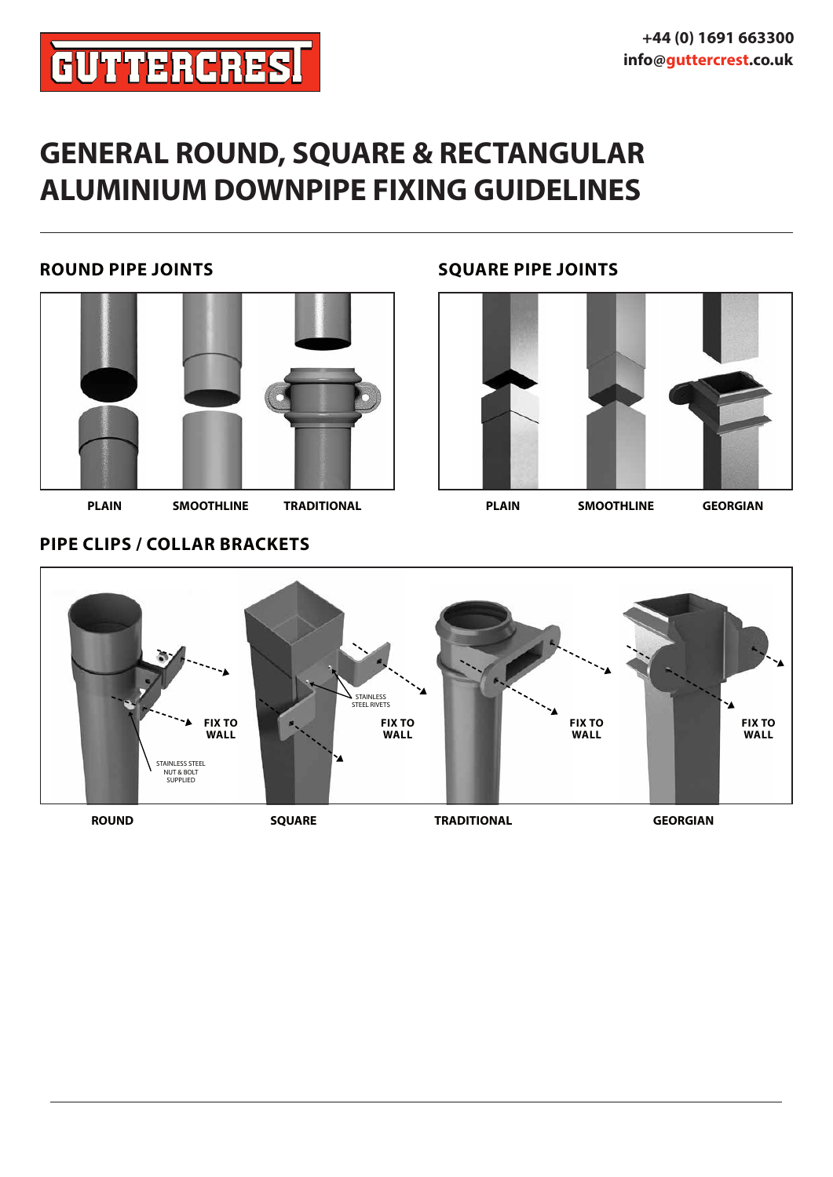# **GUTTERCRES!**

### **GENERAL ROUND, SQUARE & RECTANGULAR ALUMINIUM DOWNPIPE FIXING GUIDELINES**

### **ROUND PIPE JOINTS SQUARE PIPE JOINTS**



**PLAIN SMOOTHLINE TRADITIONAL PLAIN SMOOTHLINE GEORGIAN**



### **PIPE CLIPS / COLLAR BRACKETS**